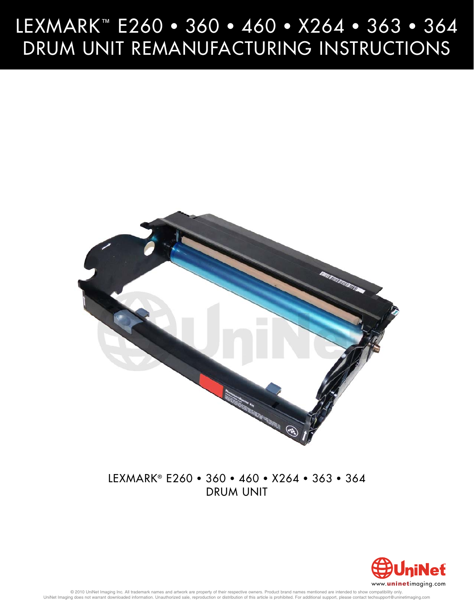# LEXMARK™ E260 • 360 • 460 • X264 • 363 • 364<br>DRUM UNIT REMANUFACTURING INSTRUCTIONS DRUM UNIT REMANUFACTURING INSTRUCTIONS



# LEXMARK® E260 • 360 • 460 • X264 • 363 • 364 drum unit

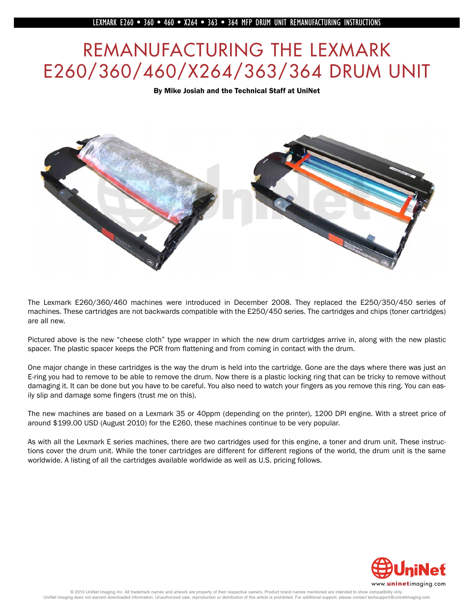# REMANUFACTURING THE LEXMARK<br>E260/360/460/X264/363/364 DRUM UNIT E260, 2002, 2003, 2003, 2003, 2003, 2004, 2004, 2004, 2004, 2004, 2004, 2004, 2004, 2004, 2004, 2004, 2004, 200



The Lexmark E260/360/460 machines were introduced in December 2008. They replaced the E250/350/450 series of machines. These cartridges are not backwards compatible with the E250/450 series. The cartridges and chips (toner cartridges) are all new.

Pictured above is the new "cheese cloth" type wrapper in which the new drum cartridges arrive in, along with the new plastic spacer. The plastic spacer keeps the PCR from flattening and from coming in contact with the drum.

One major change in these cartridges is the way the drum is held into the cartridge. Gone are the days where there was just an E-ring you had to remove to be able to remove the drum. Now there is a plastic locking ring that can be tricky to remove without damaging it. It can be done but you have to be careful. You also need to watch your fingers as you remove this ring. You can easily slip and damage some fingers (trust me on this).

The new machines are based on a Lexmark 35 or 40ppm (depending on the printer), 1200 DPI engine. With a street price of around \$199.00 USD (August 2010) for the E260, these machines continue to be very popular.

As with all the Lexmark E series machines, there are two cartridges used for this engine, a toner and drum unit. These instructions cover the drum unit. While the toner cartridges are different for different regions of the world, the drum unit is the same worldwide. A listing of all the cartridges available worldwide as well as U.S. pricing follows.

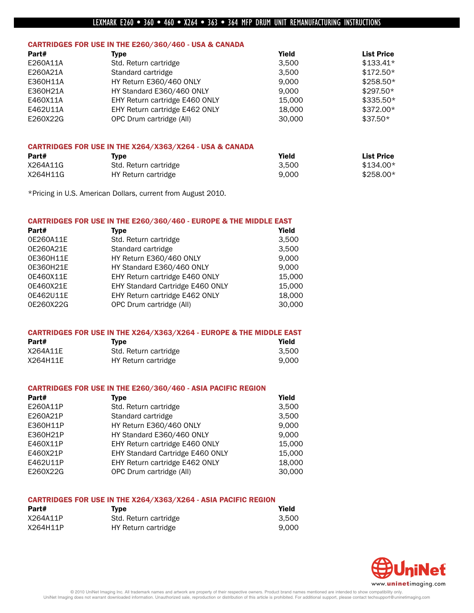## CARTRIDGES FOR USE IN THE E260/360/460 - USA & CANADA

| Part#    | Tvpe                           | Yield  | <b>List Price</b> |
|----------|--------------------------------|--------|-------------------|
| E260A11A | Std. Return cartridge          | 3.500  | $$133.41*$        |
| E260A21A | Standard cartridge             | 3.500  | $$172.50*$        |
| E360H11A | HY Return E360/460 ONLY        | 9.000  | $$258.50*$        |
| E360H21A | HY Standard E360/460 ONLY      | 9.000  | $$297.50*$        |
| E460X11A | EHY Return cartridge E460 ONLY | 15.000 | $$335.50*$        |
| E462U11A | EHY Return cartridge E462 ONLY | 18,000 | $$372.00*$        |
| E260X22G | OPC Drum cartridge (All)       | 30,000 | $$37.50*$         |

#### CARTRIDGES FOR USE IN THE X264/X363/X264 - USA & CANADA

| Part#    | Type                  | Yield | <b>List Price</b> |
|----------|-----------------------|-------|-------------------|
| X264A11G | Std. Return cartridge | 3.500 | $$134.00*$        |
| X264H11G | HY Return cartridge   | 9.000 | $$258.00*$        |

\*Pricing in U.S. American Dollars, current from August 2010.

#### CARTRIDGES FOR USE IN THE E260/360/460 - EUROPE & THE MIDDLE EAST

| Part#     | <b>Type</b>                      | Yield  |
|-----------|----------------------------------|--------|
| 0E260A11E | Std. Return cartridge            | 3,500  |
| 0E260A21E | Standard cartridge               | 3,500  |
| 0E360H11E | HY Return E360/460 ONLY          | 9,000  |
| 0E360H21E | HY Standard E360/460 ONLY        | 9.000  |
| 0E460X11E | EHY Return cartridge E460 ONLY   | 15,000 |
| 0E460X21E | EHY Standard Cartridge E460 ONLY | 15,000 |
| 0E462U11E | EHY Return cartridge E462 ONLY   | 18,000 |
| 0E260X22G | OPC Drum cartridge (All)         | 30,000 |

#### CARTRIDGES FOR USE IN THE X264/X363/X264 - EUROPE & THE MIDDLE EAST

| Part#    | <b>Type</b>           | Yield |
|----------|-----------------------|-------|
| X264A11E | Std. Return cartridge | 3.500 |
| X264H11E | HY Return cartridge   | 9.000 |

#### CARTRIDGES FOR USE IN THE E260/360/460 - ASIA PACIFIC REGION

| Type                             | Yield  |
|----------------------------------|--------|
| Std. Return cartridge            | 3.500  |
| Standard cartridge               | 3,500  |
| HY Return E360/460 ONLY          | 9.000  |
| HY Standard E360/460 ONLY        | 9.000  |
| EHY Return cartridge E460 ONLY   | 15.000 |
| EHY Standard Cartridge E460 ONLY | 15,000 |
| EHY Return cartridge E462 ONLY   | 18,000 |
| OPC Drum cartridge (All)         | 30,000 |
|                                  |        |

#### CARTRIDGES FOR USE IN THE X264/X363/X264 - ASIA PACIFIC REGION

| Part#    | Tvpe                  | Yield |
|----------|-----------------------|-------|
| X264A11P | Std. Return cartridge | 3.500 |
| X264H11P | HY Return cartridge   | 9.000 |

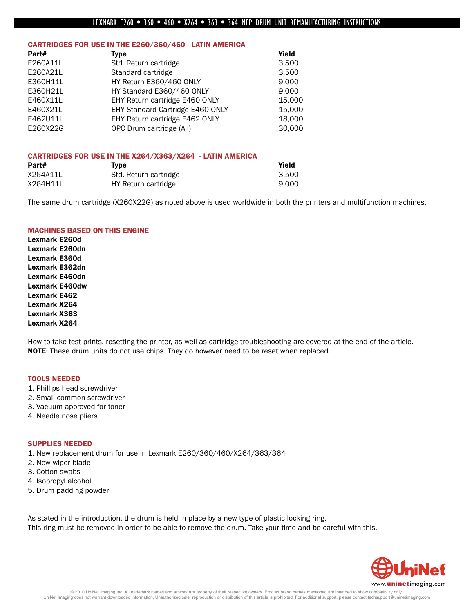#### CARTRIDGES FOR USE IN THE E260/360/460 - LATIN AMERICA

| Part#    | <b>Type</b>                      | Yield  |
|----------|----------------------------------|--------|
| E260A11L | Std. Return cartridge            | 3,500  |
| E260A21L | Standard cartridge               | 3,500  |
| E360H11L | HY Return E360/460 ONLY          | 9.000  |
| E360H21L | HY Standard E360/460 ONLY        | 9.000  |
| E460X11L | EHY Return cartridge E460 ONLY   | 15,000 |
| E460X21L | EHY Standard Cartridge E460 ONLY | 15,000 |
| E462U11L | EHY Return cartridge E462 ONLY   | 18.000 |
| E260X22G | OPC Drum cartridge (All)         | 30,000 |

#### CARTRIDGES FOR USE IN THE X264/X363/X264 - LATIN AMERICA

| Part#    | Tvpe                  | Yield |
|----------|-----------------------|-------|
| X264A11L | Std. Return cartridge | 3.500 |
| X264H11L | HY Return cartridge   | 9.000 |

The same drum cartridge (X260X22G) as noted above is used worldwide in both the printers and multifunction machines.

#### MACHINES BASED ON THIS ENGINE

Lexmark E260d Lexmark E260dn Lexmark E360d Lexmark E362dn Lexmark E460dn Lexmark E460dw Lexmark E462 Lexmark X264 Lexmark X363 Lexmark X264

How to take test prints, resetting the printer, as well as cartridge troubleshooting are covered at the end of the article. NOTE: These drum units do not use chips. They do however need to be reset when replaced.

#### TOOLS NEEDED

- 1. Phillips head screwdriver
- 2. Small common screwdriver
- 3. Vacuum approved for toner
- 4. Needle nose pliers

#### SUPPLIES NEEDED

1. New replacement drum for use in Lexmark E260/360/460/X264/363/364

- 2. New wiper blade
- 3. Cotton swabs
- 4. Isopropyl alcohol
- 5. Drum padding powder

As stated in the introduction, the drum is held in place by a new type of plastic locking ring. This ring must be removed in order to be able to remove the drum. Take your time and be careful with this.

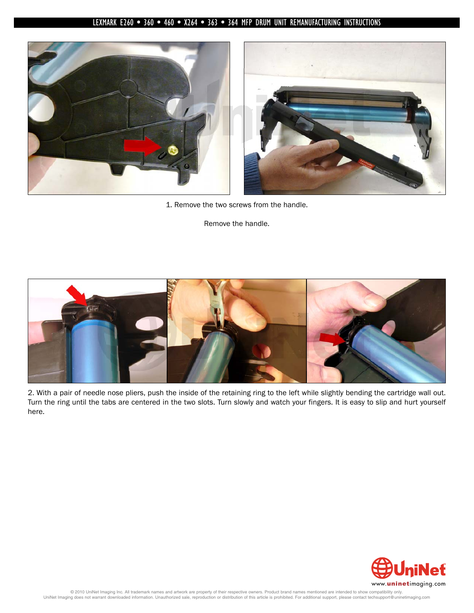

1. Remove the two screws from the handle.

Remove the handle.



2. With a pair of needle nose pliers, push the inside of the retaining ring to the left while slightly bending the cartridge wall out. Turn the ring until the tabs are centered in the two slots. Turn slowly and watch your fingers. It is easy to slip and hurt yourself here.

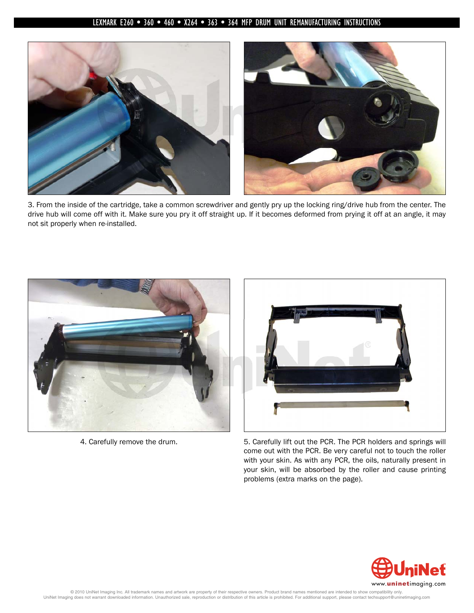

3. From the inside of the cartridge, take a common screwdriver and gently pry up the locking ring/drive hub from the center. The drive hub will come off with it. Make sure you pry it off straight up. If it becomes deformed from prying it off at an angle, it may not sit properly when re-installed.





4. Carefully remove the drum. 5. Carefully lift out the PCR. The PCR holders and springs will come out with the PCR. Be very careful not to touch the roller with your skin. As with any PCR, the oils, naturally present in your skin, will be absorbed by the roller and cause printing problems (extra marks on the page).

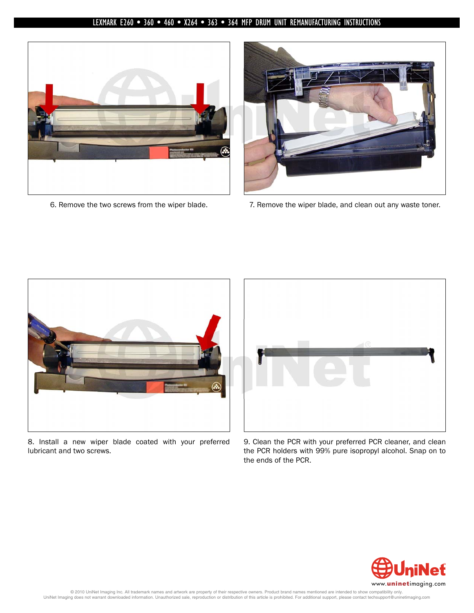



6. Remove the two screws from the wiper blade. 7. Remove the wiper blade, and clean out any waste toner.



8. Install a new wiper blade coated with your preferred lubricant and two screws.



9. Clean the PCR with your preferred PCR cleaner, and clean the PCR holders with 99% pure isopropyl alcohol. Snap on to the ends of the PCR.

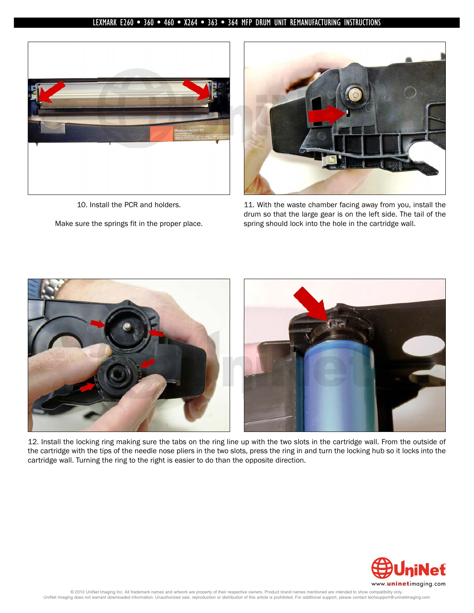

10. Install the PCR and holders. Make sure the springs fit in the proper place.



11. With the waste chamber facing away from you, install the drum so that the large gear is on the left side. The tail of the spring should lock into the hole in the cartridge wall.



12. Install the locking ring making sure the tabs on the ring line up with the two slots in the cartridge wall. From the outside of the cartridge with the tips of the needle nose pliers in the two slots, press the ring in and turn the locking hub so it locks into the cartridge wall. Turning the ring to the right is easier to do than the opposite direction.

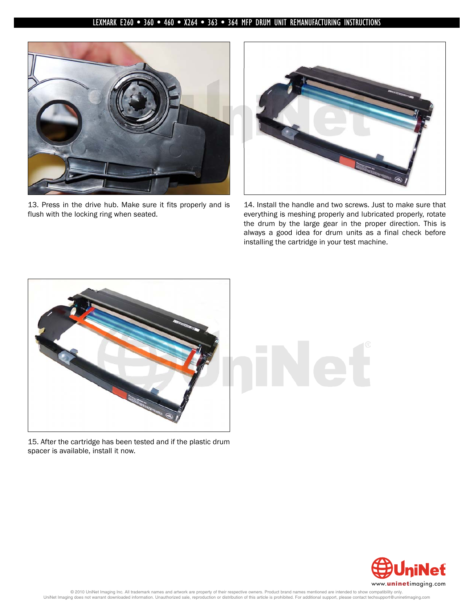

13. Press in the drive hub. Make sure it fits properly and is flush with the locking ring when seated.



14. Install the handle and two screws. Just to make sure that everything is meshing properly and lubricated properly, rotate the drum by the large gear in the proper direction. This is always a good idea for drum units as a final check before installing the cartridge in your test machine.



15. After the cartridge has been tested and if the plastic drum spacer is available, install it now.